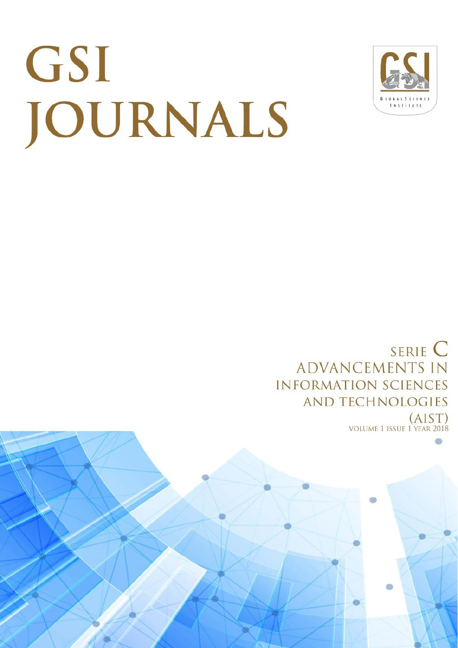# GSI JOURNALS



SERIE C **ADVANCEMENTS IN INFORMATION SCIENCES AND TECHNOLOGIES**  $(AIST)$ **VOLUME 1 ISSUE 1 YEAR 2018**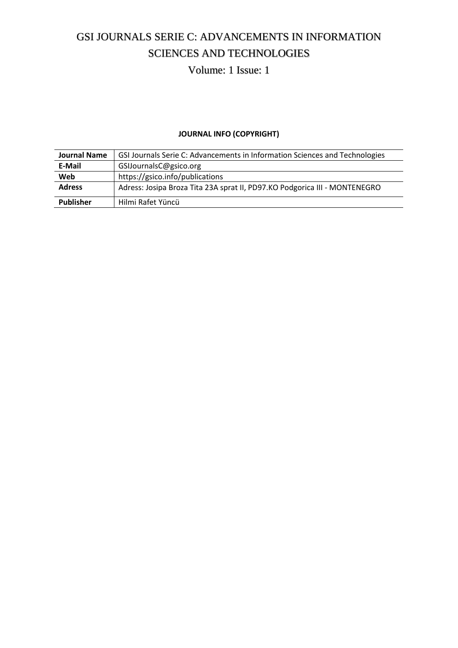# GSI JOURNALS SERIE C: ADVANCEMENTS IN INFORMATION SCIENCES AND TECHNOLOGIES

Volume: 1 Issue: 1

### **JOURNAL INFO (COPYRIGHT)**

| <b>Journal Name</b> | GSI Journals Serie C: Advancements in Information Sciences and Technologies |
|---------------------|-----------------------------------------------------------------------------|
| E-Mail              | GSIJournalsC@gsico.org                                                      |
| Web                 | https://gsico.info/publications                                             |
| <b>Adress</b>       | Adress: Josipa Broza Tita 23A sprat II, PD97.KO Podgorica III - MONTENEGRO  |
| <b>Publisher</b>    | Hilmi Rafet Yüncü                                                           |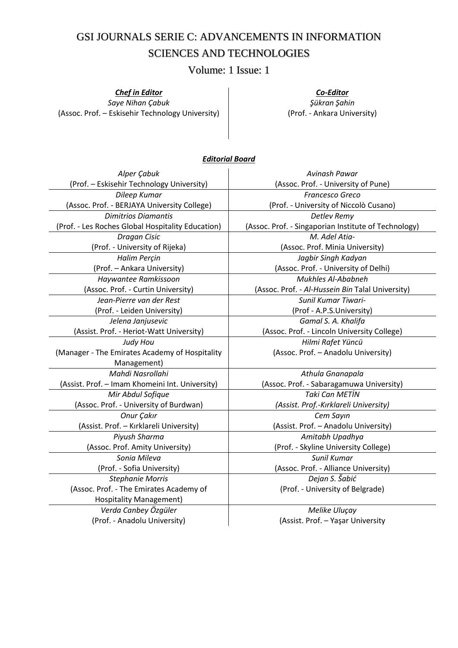## GSI JOURNALS SERIE C: ADVANCEMENTS IN INFORMATION SCIENCES AND TECHNOLOGIES

Volume: 1 Issue: 1

#### *Chef in Editor*

*Saye Nihan Çabuk*  (Assoc. Prof. – Eskisehir Technology University)

*Co-Editor Şükran Şahin*  (Prof. - Ankara University)

#### *Editorial Board*

| Alper Çabuk                                       | Avinash Pawar                                        |  |
|---------------------------------------------------|------------------------------------------------------|--|
| (Prof. - Eskisehir Technology University)         | (Assoc. Prof. - University of Pune)                  |  |
| Dileep Kumar                                      | Francesco Greco                                      |  |
| (Assoc. Prof. - BERJAYA University College)       | (Prof. - University of Niccolò Cusano)               |  |
| <b>Dimitrios Diamantis</b>                        | Detlev Remy                                          |  |
| (Prof. - Les Roches Global Hospitality Education) | (Assoc. Prof. - Singaporian Institute of Technology) |  |
| Dragan Cisic                                      | M. Adel Atia-                                        |  |
| (Prof. - University of Rijeka)                    | (Assoc. Prof. Minia University)                      |  |
| Halim Perçin                                      | Jagbir Singh Kadyan                                  |  |
| (Prof. - Ankara University)                       | (Assoc. Prof. - University of Delhi)                 |  |
| Haywantee Ramkissoon                              | Mukhles Al-Ababneh                                   |  |
| (Assoc. Prof. - Curtin University)                | (Assoc. Prof. - Al-Hussein Bin Talal University)     |  |
| Jean-Pierre van der Rest                          | <b>Sunil Kumar Tiwari-</b>                           |  |
| (Prof. - Leiden University)                       | (Prof - A.P.S.University)                            |  |
| Jelena Janjusevic                                 | Gamal S. A. Khalifa                                  |  |
| (Assist. Prof. - Heriot-Watt University)          | (Assoc. Prof. - Lincoln University College)          |  |
| Judy Hou                                          | Hilmi Rafet Yüncü                                    |  |
| (Manager - The Emirates Academy of Hospitality    | (Assoc. Prof. - Anadolu University)                  |  |
| Management)                                       |                                                      |  |
| Mahdi Nasrollahi                                  | Athula Gnanapala                                     |  |
| (Assist. Prof. - Imam Khomeini Int. University)   | (Assoc. Prof. - Sabaragamuwa University)             |  |
| Mir Abdul Sofique                                 | <b>Taki Can METİN</b>                                |  |
| (Assoc. Prof. - University of Burdwan)            | (Assist. Prof.-Kırklareli University)                |  |
| Onur Çakır                                        | Cem Sayın                                            |  |
| (Assist. Prof. - Kırklareli University)           | (Assist. Prof. - Anadolu University)                 |  |
| Piyush Sharma                                     | Amitabh Upadhya                                      |  |
| (Assoc. Prof. Amity University)                   | (Prof. - Skyline University College)                 |  |
| Sonia Mileva                                      | Sunil Kumar                                          |  |
| (Prof. - Sofia University)                        | (Assoc. Prof. - Alliance University)                 |  |
| <b>Stephanie Morris</b>                           | Dejan S. Šabić                                       |  |
| (Assoc. Prof. - The Emirates Academy of           | (Prof. - University of Belgrade)                     |  |
| <b>Hospitality Management)</b>                    |                                                      |  |
| Verda Canbey Özgüler                              | Melike Uluçay                                        |  |
| (Prof. - Anadolu University)                      | (Assist. Prof. - Yaşar University                    |  |